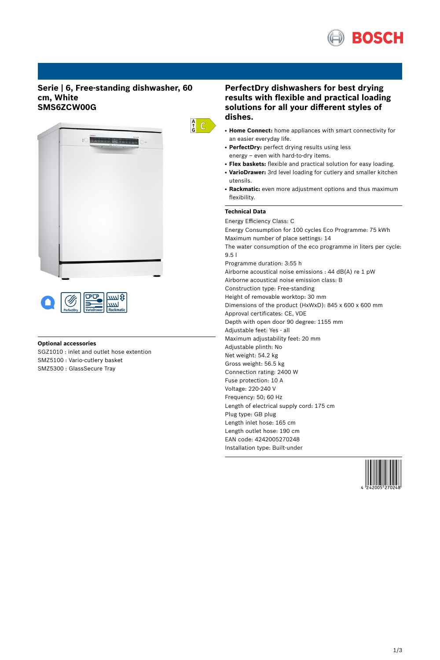

## **Serie | 6, Free-standing dishwasher, 60 cm, White SMS6ZCW00G**





## **Optional accessories**

SGZ1010 : inlet and outlet hose extention SMZ5100 : Vario-cutlery basket SMZ5300 : GlassSecure Tray

# **PerfectDry dishwashers for best drying results with flexible and practical loading solutions for all your different styles of dishes.**

- **Home Connect:** home appliances with smart connectivity for an easier everyday life.
- PerfectDry: perfect drying results using less energy – even with hard-to-dry items.
- **Flex baskets:** flexible and practical solution for easy loading.
- VarioDrawer: 3rd level loading for cutlery and smaller kitchen utensils.
- Rackmatic: even more adjustment options and thus maximum flexibility.

## **Technical Data**

 $\frac{A}{G}$  C

Energy Efficiency Class: C Energy Consumption for 100 cycles Eco Programme: 75 kWh Maximum number of place settings: 14 The water consumption of the eco programme in liters per cycle: 9.5 l Programme duration: 3:55 h Airborne acoustical noise emissions : 44 dB(A) re 1 pW Airborne acoustical noise emission class: B Construction type: Free-standing Height of removable worktop: 30 mm Dimensions of the product (HxWxD): 845 x 600 x 600 mm Approval certificates: CE, VDE Depth with open door 90 degree: 1155 mm Adjustable feet: Yes - all Maximum adjustability feet: 20 mm Adjustable plinth: No Net weight: 54.2 kg Gross weight: 56.5 kg Connection rating: 2400 W Fuse protection: 10 A Voltage: 220-240 V Frequency: 50; 60 Hz Length of electrical supply cord: 175 cm Plug type: GB plug Length inlet hose: 165 cm Length outlet hose: 190 cm EAN code: 4242005270248 Installation type: Built-under

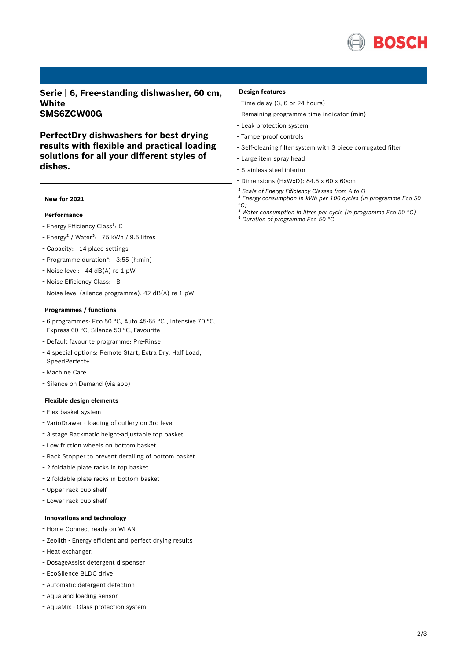

**Serie | 6, Free-standing dishwasher, 60 cm, White SMS6ZCW00G**

**PerfectDry dishwashers for best drying results with flexible and practical loading solutions for all your different styles of dishes.**

## **New for 2021**

#### **Performance**

- Energy Efficiency Class<sup>1</sup>: C
- $-$  Energy<sup>2</sup> / Water<sup>3</sup>: 75 kWh / 9.5 litres
- Capacity: <sup>14</sup> place settings
- Programme duration<sup>4</sup>: 3:55 (h:min)
- Noise level: <sup>44</sup> dB(A) re <sup>1</sup> pW
- Noise Efficiency Class: <sup>B</sup>
- Noise level (silence programme): <sup>42</sup> dB(A) re <sup>1</sup> pW

#### **Programmes / functions**

- <sup>6</sup> programmes: Eco <sup>50</sup> °C, Auto 45-65 °C , Intensive <sup>70</sup> °C, Express 60 °C, Silence 50 °C, Favourite
- Default favourite programme: Pre-Rinse
- <sup>4</sup> special options: Remote Start, Extra Dry, Half Load, SpeedPerfect+
- Machine Care
- Silence on Demand (via app)

### **Flexible design elements**

- Flex basket system
- VarioDrawer loading of cutlery on 3rd level
- <sup>3</sup> stage Rackmatic height-adjustable top basket
- Low friction wheels on bottom basket
- Rack Stopper to prevent derailing of bottom basket
- <sup>2</sup> foldable plate racks in top basket
- <sup>2</sup> foldable plate racks in bottom basket
- Upper rack cup shelf
- Lower rack cup shelf

#### **Innovations and technology**

- Home Connect ready on WLAN
- Zeolith Energy efficient and perfect drying results
- Heat exchanger.
- DosageAssist detergent dispenser
- EcoSilence BLDC drive
- Automatic detergent detection
- Aqua and loading sensor
- AquaMix Glass protection system

#### **Design features**

- Time delay (3, <sup>6</sup> or <sup>24</sup> hours)
- Remaining programme time indicator (min)
- Leak protection system
- Tamperproof controls
- Self-cleaning filter system with <sup>3</sup> piece corrugated filter
- Large item spray head
- Stainless steel interior
- Dimensions (HxWxD): 84.5 x 60 x 60cm
- *¹ Scale of Energy Efficiency Classes from A to G*
- *² Energy consumption in kWh per 100 cycles (in programme Eco 50 °C)*
- *³ Water consumption in litres per cycle (in programme Eco 50 °C) ⁴ Duration of programme Eco 50 °C*